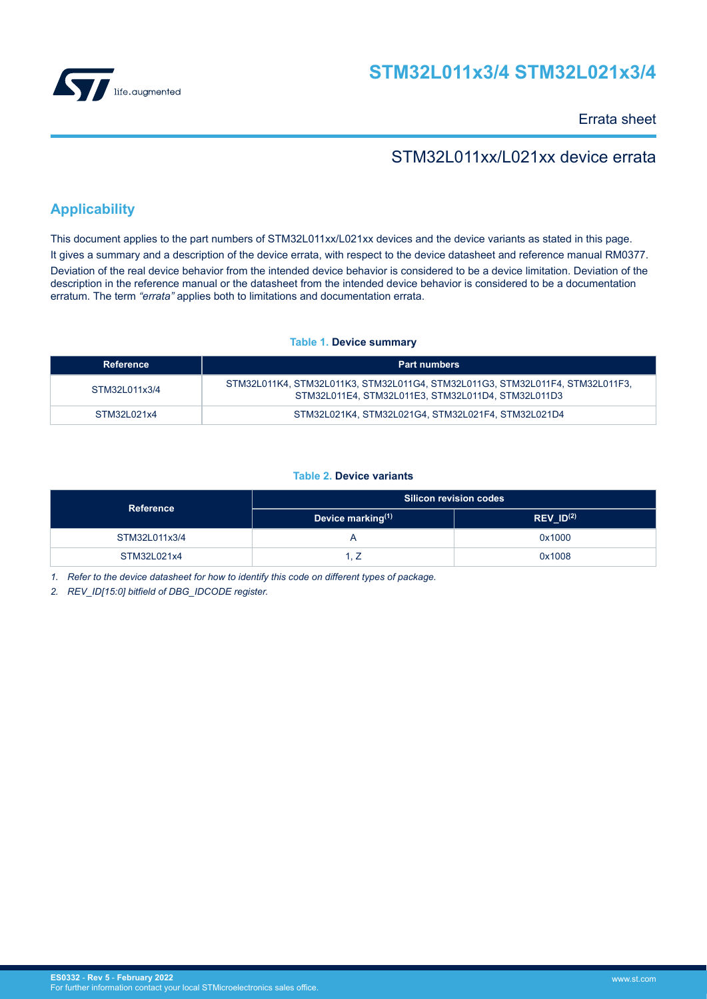

Errata sheet

# STM32L011xx/L021xx device errata

# **Applicability**

This document applies to the part numbers of STM32L011xx/L021xx devices and the device variants as stated in this page. It gives a summary and a description of the device errata, with respect to the device datasheet and reference manual RM0377. Deviation of the real device behavior from the intended device behavior is considered to be a device limitation. Deviation of the description in the reference manual or the datasheet from the intended device behavior is considered to be a documentation erratum. The term *"errata"* applies both to limitations and documentation errata.

## **Table 1. Device summary**

| Reference     | <b>Part numbers</b>                                                                                                                 |
|---------------|-------------------------------------------------------------------------------------------------------------------------------------|
| STM32L011x3/4 | STM32L011K4, STM32L011K3, STM32L011G4, STM32L011G3, STM32L011F4, STM32L011F3,<br>STM32L011E4, STM32L011E3, STM32L011D4, STM32L011D3 |
| STM32L021x4   | STM32L021K4. STM32L021G4. STM32L021F4. STM32L021D4                                                                                  |

## **Table 2. Device variants**

| Reference     | <b>Silicon revision codes</b> |                |  |
|---------------|-------------------------------|----------------|--|
|               | Device marking(1)             | REV $ID^{(2)}$ |  |
| STM32L011x3/4 |                               | 0x1000         |  |
| STM32L021x4   | -                             | 0x1008         |  |

*1. Refer to the device datasheet for how to identify this code on different types of package.*

*2. REV\_ID[15:0] bitfield of DBG\_IDCODE register.*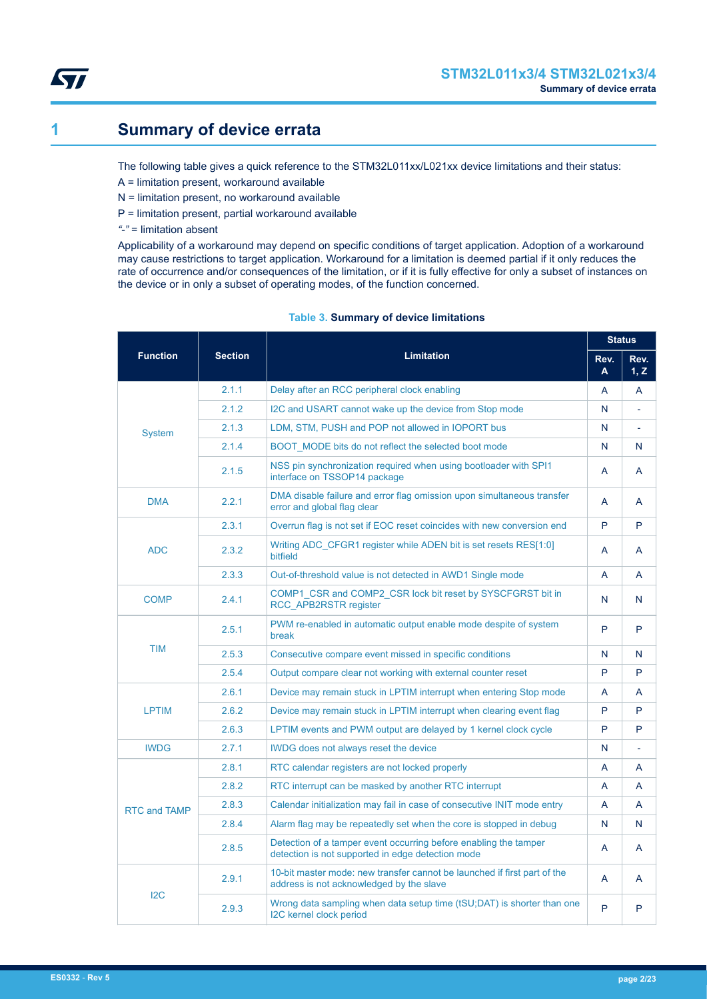<span id="page-1-0"></span>

# **1 Summary of device errata**

The following table gives a quick reference to the STM32L011xx/L021xx device limitations and their status:

- A = limitation present, workaround available
- N = limitation present, no workaround available
- P = limitation present, partial workaround available
- *"-"* = limitation absent

Applicability of a workaround may depend on specific conditions of target application. Adoption of a workaround may cause restrictions to target application. Workaround for a limitation is deemed partial if it only reduces the rate of occurrence and/or consequences of the limitation, or if it is fully effective for only a subset of instances on the device or in only a subset of operating modes, of the function concerned.

|                      |                |                                                                                                                       | <b>Status</b> |              |
|----------------------|----------------|-----------------------------------------------------------------------------------------------------------------------|---------------|--------------|
| <b>Function</b>      | <b>Section</b> | <b>Limitation</b>                                                                                                     |               | Rev.<br>1, Z |
|                      | 2.1.1          | Delay after an RCC peripheral clock enabling                                                                          | A             | A            |
|                      | 2.1.2          | I2C and USART cannot wake up the device from Stop mode                                                                | N             |              |
| <b>System</b>        | 2.1.3          | LDM, STM, PUSH and POP not allowed in IOPORT bus                                                                      | N             |              |
|                      | 2.1.4          | BOOT MODE bits do not reflect the selected boot mode                                                                  | N             | N            |
|                      | 2.1.5          | NSS pin synchronization required when using bootloader with SPI1<br>interface on TSSOP14 package                      | A             | A            |
| <b>DMA</b>           | 2.2.1          | DMA disable failure and error flag omission upon simultaneous transfer<br>error and global flag clear                 | A             | A            |
|                      | 2.3.1          | Overrun flag is not set if EOC reset coincides with new conversion end                                                | P             | P            |
| <b>ADC</b>           | 2.3.2          | Writing ADC CFGR1 register while ADEN bit is set resets RES[1:0]<br>bitfield                                          | A             | A            |
|                      | 2.3.3          | Out-of-threshold value is not detected in AWD1 Single mode                                                            | A             | A            |
| <b>COMP</b>          | 2.4.1          | COMP1 CSR and COMP2 CSR lock bit reset by SYSCFGRST bit in<br>RCC_APB2RSTR register                                   | N             | N            |
|                      | 2.5.1          | PWM re-enabled in automatic output enable mode despite of system<br>break                                             | P             | P            |
| <b>TIM</b>           | 2.5.3          | Consecutive compare event missed in specific conditions                                                               | N             | N            |
|                      | 2.5.4          | Output compare clear not working with external counter reset                                                          | P             | P            |
|                      | 2.6.1          | Device may remain stuck in LPTIM interrupt when entering Stop mode                                                    | A             | A            |
| <b>LPTIM</b>         | 2.6.2          | Device may remain stuck in LPTIM interrupt when clearing event flag                                                   | P             | P            |
|                      | 2.6.3          | LPTIM events and PWM output are delayed by 1 kernel clock cycle                                                       | P             | P            |
| <b>IWDG</b><br>2.7.1 |                | <b>IWDG</b> does not always reset the device                                                                          | N             |              |
|                      | 2.8.1          | RTC calendar registers are not locked properly                                                                        | A             | A            |
|                      | 2.8.2          | RTC interrupt can be masked by another RTC interrupt                                                                  | A             | A            |
| <b>RTC and TAMP</b>  | 2.8.3          | Calendar initialization may fail in case of consecutive INIT mode entry                                               | A             | A            |
|                      | 2.8.4          | Alarm flag may be repeatedly set when the core is stopped in debug                                                    | N             | N            |
|                      | 2.8.5          | Detection of a tamper event occurring before enabling the tamper<br>detection is not supported in edge detection mode | A             | A            |
|                      | 2.9.1          | 10-bit master mode: new transfer cannot be launched if first part of the<br>address is not acknowledged by the slave  | A             | A            |
| 12C                  | 2.9.3          | Wrong data sampling when data setup time (tSU;DAT) is shorter than one<br>I2C kernel clock period                     | P             | P            |

## **Table 3. Summary of device limitations**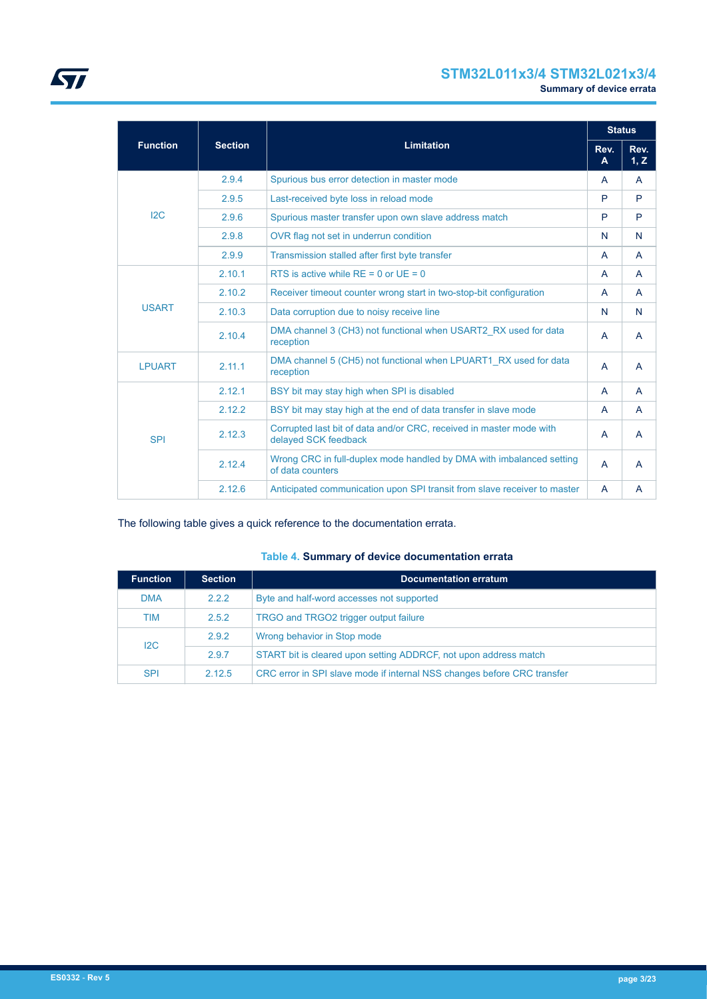# **STM32L011x3/4 STM32L021x3/4**

|                 |        | <b>Section</b><br><b>Limitation</b>                                                         |                | <b>Status</b>  |
|-----------------|--------|---------------------------------------------------------------------------------------------|----------------|----------------|
| <b>Function</b> |        |                                                                                             |                | Rev.<br>1, Z   |
|                 | 2.9.4  | Spurious bus error detection in master mode                                                 | A              | $\mathsf{A}$   |
|                 | 2.9.5  | Last-received byte loss in reload mode                                                      | P              | P              |
| 12C             | 2.9.6  | Spurious master transfer upon own slave address match                                       | P              | P              |
|                 | 2.9.8  | OVR flag not set in underrun condition                                                      | N              | N              |
|                 | 2.9.9  | Transmission stalled after first byte transfer                                              | A              | A              |
|                 | 2.10.1 | RTS is active while $RE = 0$ or $UE = 0$                                                    | A              | $\overline{A}$ |
|                 | 2.10.2 | Receiver timeout counter wrong start in two-stop-bit configuration                          | A              | $\mathsf{A}$   |
| <b>USART</b>    | 2.10.3 | Data corruption due to noisy receive line                                                   | N              | N              |
|                 | 2.10.4 | DMA channel 3 (CH3) not functional when USART2 RX used for data<br>reception                | $\mathsf{A}$   | $\mathsf{A}$   |
| <b>LPUART</b>   | 2.11.1 | DMA channel 5 (CH5) not functional when LPUART1_RX used for data<br>reception               | $\overline{A}$ | $\overline{A}$ |
|                 | 2.12.1 | BSY bit may stay high when SPI is disabled                                                  | $\mathsf{A}$   | A              |
|                 | 2.12.2 | BSY bit may stay high at the end of data transfer in slave mode                             | A              | A              |
| <b>SPI</b>      | 2.12.3 | Corrupted last bit of data and/or CRC, received in master mode with<br>delayed SCK feedback | A              | A              |
|                 | 2.12.4 | Wrong CRC in full-duplex mode handled by DMA with imbalanced setting<br>of data counters    | A              | A              |
|                 | 2.12.6 | Anticipated communication upon SPI transit from slave receiver to master                    | A              | A              |

The following table gives a quick reference to the documentation errata.

## **Table 4. Summary of device documentation errata**

| <b>Function</b> | <b>Section</b> | <b>Documentation erratum</b>                                            |  |  |  |  |
|-----------------|----------------|-------------------------------------------------------------------------|--|--|--|--|
| <b>DMA</b>      | 2.2.2          | Byte and half-word accesses not supported                               |  |  |  |  |
| <b>TIM</b>      | 2.5.2          | TRGO and TRGO2 trigger output failure                                   |  |  |  |  |
| 12C             | 2.9.2          | Wrong behavior in Stop mode                                             |  |  |  |  |
|                 | 2.9.7          | START bit is cleared upon setting ADDRCF, not upon address match        |  |  |  |  |
| <b>SPI</b>      | 2.12.5         | CRC error in SPI slave mode if internal NSS changes before CRC transfer |  |  |  |  |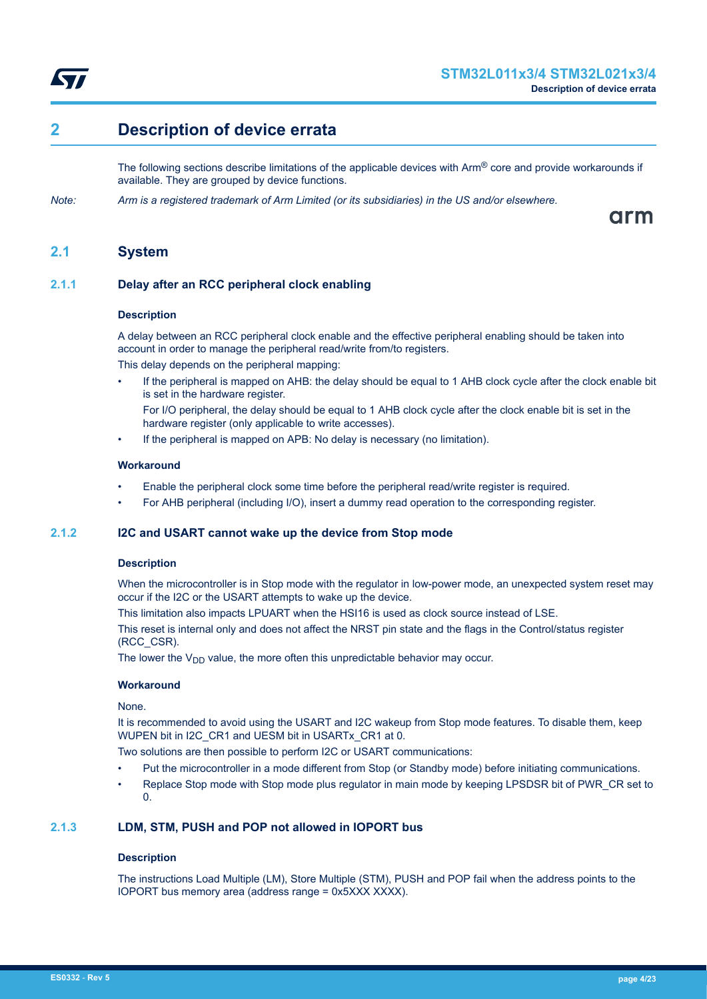<span id="page-3-0"></span>

# **2 Description of device errata**

The following sections describe limitations of the applicable devices with  $Arm^@$  core and provide workarounds if available. They are grouped by device functions.

*Note: Arm is a registered trademark of Arm Limited (or its subsidiaries) in the US and/or elsewhere.*

arm

## **2.1 System**

## **2.1.1 Delay after an RCC peripheral clock enabling**

## **Description**

A delay between an RCC peripheral clock enable and the effective peripheral enabling should be taken into account in order to manage the peripheral read/write from/to registers.

This delay depends on the peripheral mapping:

- If the peripheral is mapped on AHB: the delay should be equal to 1 AHB clock cycle after the clock enable bit is set in the hardware register.
	- For I/O peripheral, the delay should be equal to 1 AHB clock cycle after the clock enable bit is set in the hardware register (only applicable to write accesses).
- If the peripheral is mapped on APB: No delay is necessary (no limitation).

## **Workaround**

- Enable the peripheral clock some time before the peripheral read/write register is required.
- For AHB peripheral (including I/O), insert a dummy read operation to the corresponding register.

## **2.1.2 I2C and USART cannot wake up the device from Stop mode**

## **Description**

When the microcontroller is in Stop mode with the regulator in low-power mode, an unexpected system reset may occur if the I2C or the USART attempts to wake up the device.

This limitation also impacts LPUART when the HSI16 is used as clock source instead of LSE.

This reset is internal only and does not affect the NRST pin state and the flags in the Control/status register (RCC\_CSR).

The lower the  $V_{DD}$  value, the more often this unpredictable behavior may occur.

## **Workaround**

None.

It is recommended to avoid using the USART and I2C wakeup from Stop mode features. To disable them, keep WUPEN bit in I2C\_CR1 and UESM bit in USARTx\_CR1 at 0.

Two solutions are then possible to perform I2C or USART communications:

- Put the microcontroller in a mode different from Stop (or Standby mode) before initiating communications.
- Replace Stop mode with Stop mode plus regulator in main mode by keeping LPSDSR bit of PWR\_CR set to 0.

## **2.1.3 LDM, STM, PUSH and POP not allowed in IOPORT bus**

## **Description**

The instructions Load Multiple (LM), Store Multiple (STM), PUSH and POP fail when the address points to the IOPORT bus memory area (address range = 0x5XXX XXXX).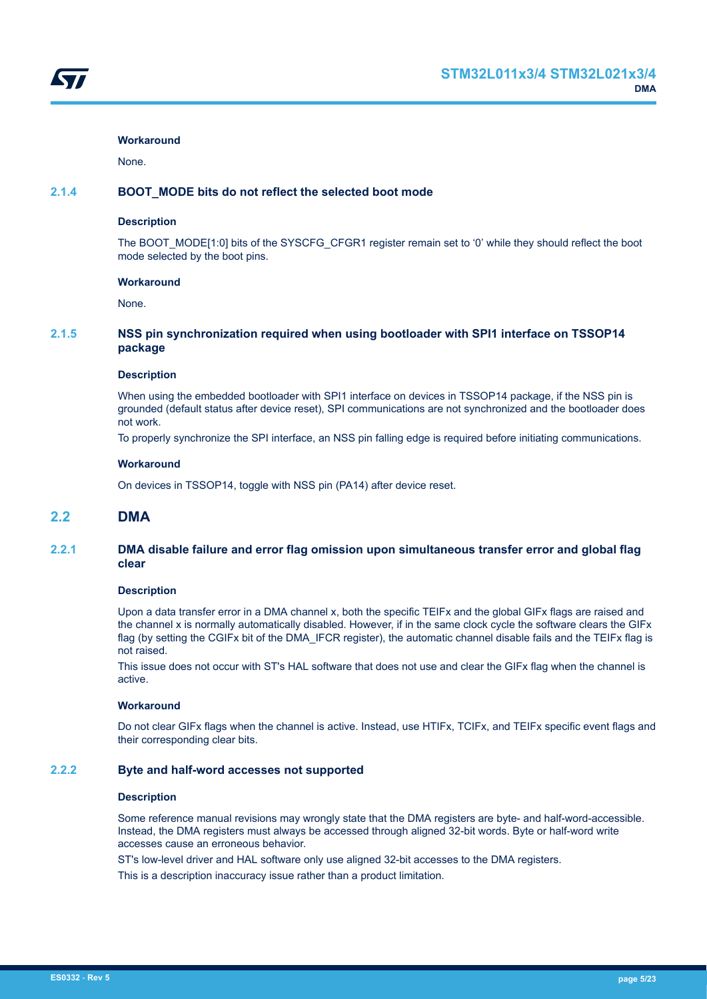None.

## <span id="page-4-0"></span>**2.1.4 BOOT\_MODE bits do not reflect the selected boot mode**

#### **Description**

The BOOT\_MODE[1:0] bits of the SYSCFG\_CFGR1 register remain set to '0' while they should reflect the boot mode selected by the boot pins.

#### **Workaround**

None.

## **2.1.5 NSS pin synchronization required when using bootloader with SPI1 interface on TSSOP14 package**

#### **Description**

When using the embedded bootloader with SPI1 interface on devices in TSSOP14 package, if the NSS pin is grounded (default status after device reset), SPI communications are not synchronized and the bootloader does not work.

To properly synchronize the SPI interface, an NSS pin falling edge is required before initiating communications.

## **Workaround**

On devices in TSSOP14, toggle with NSS pin (PA14) after device reset.

## **2.2 DMA**

## **2.2.1 DMA disable failure and error flag omission upon simultaneous transfer error and global flag clear**

#### **Description**

Upon a data transfer error in a DMA channel x, both the specific TEIFx and the global GIFx flags are raised and the channel x is normally automatically disabled. However, if in the same clock cycle the software clears the GIFx flag (by setting the CGIFx bit of the DMA\_IFCR register), the automatic channel disable fails and the TEIFx flag is not raised.

This issue does not occur with ST's HAL software that does not use and clear the GIFx flag when the channel is active.

## **Workaround**

Do not clear GIFx flags when the channel is active. Instead, use HTIFx, TCIFx, and TEIFx specific event flags and their corresponding clear bits.

## **2.2.2 Byte and half-word accesses not supported**

#### **Description**

Some reference manual revisions may wrongly state that the DMA registers are byte- and half-word-accessible. Instead, the DMA registers must always be accessed through aligned 32-bit words. Byte or half-word write accesses cause an erroneous behavior.

ST's low-level driver and HAL software only use aligned 32-bit accesses to the DMA registers.

This is a description inaccuracy issue rather than a product limitation.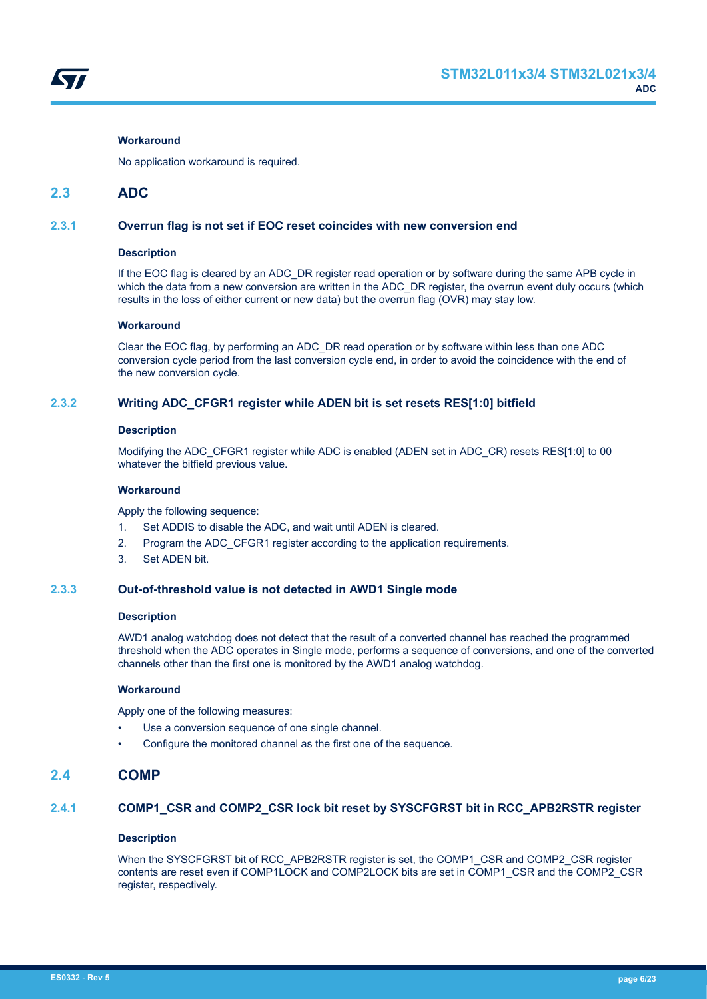<span id="page-5-0"></span>

No application workaround is required.

## **2.3 ADC**

## **2.3.1 Overrun flag is not set if EOC reset coincides with new conversion end**

#### **Description**

If the EOC flag is cleared by an ADC\_DR register read operation or by software during the same APB cycle in which the data from a new conversion are written in the ADC\_DR register, the overrun event duly occurs (which results in the loss of either current or new data) but the overrun flag (OVR) may stay low.

## **Workaround**

Clear the EOC flag, by performing an ADC\_DR read operation or by software within less than one ADC conversion cycle period from the last conversion cycle end, in order to avoid the coincidence with the end of the new conversion cycle.

## **2.3.2 Writing ADC\_CFGR1 register while ADEN bit is set resets RES[1:0] bitfield**

#### **Description**

Modifying the ADC\_CFGR1 register while ADC is enabled (ADEN set in ADC\_CR) resets RES[1:0] to 00 whatever the bitfield previous value.

### **Workaround**

Apply the following sequence:

- 1. Set ADDIS to disable the ADC, and wait until ADEN is cleared.
- 2. Program the ADC\_CFGR1 register according to the application requirements.
- 3. Set ADEN bit.

## **2.3.3 Out-of-threshold value is not detected in AWD1 Single mode**

## **Description**

AWD1 analog watchdog does not detect that the result of a converted channel has reached the programmed threshold when the ADC operates in Single mode, performs a sequence of conversions, and one of the converted channels other than the first one is monitored by the AWD1 analog watchdog.

#### **Workaround**

Apply one of the following measures:

- Use a conversion sequence of one single channel.
- Configure the monitored channel as the first one of the sequence.

## **2.4 COMP**

## **2.4.1 COMP1\_CSR and COMP2\_CSR lock bit reset by SYSCFGRST bit in RCC\_APB2RSTR register**

## **Description**

When the SYSCFGRST bit of RCC\_APB2RSTR register is set, the COMP1\_CSR and COMP2\_CSR register contents are reset even if COMP1LOCK and COMP2LOCK bits are set in COMP1\_CSR and the COMP2\_CSR register, respectively.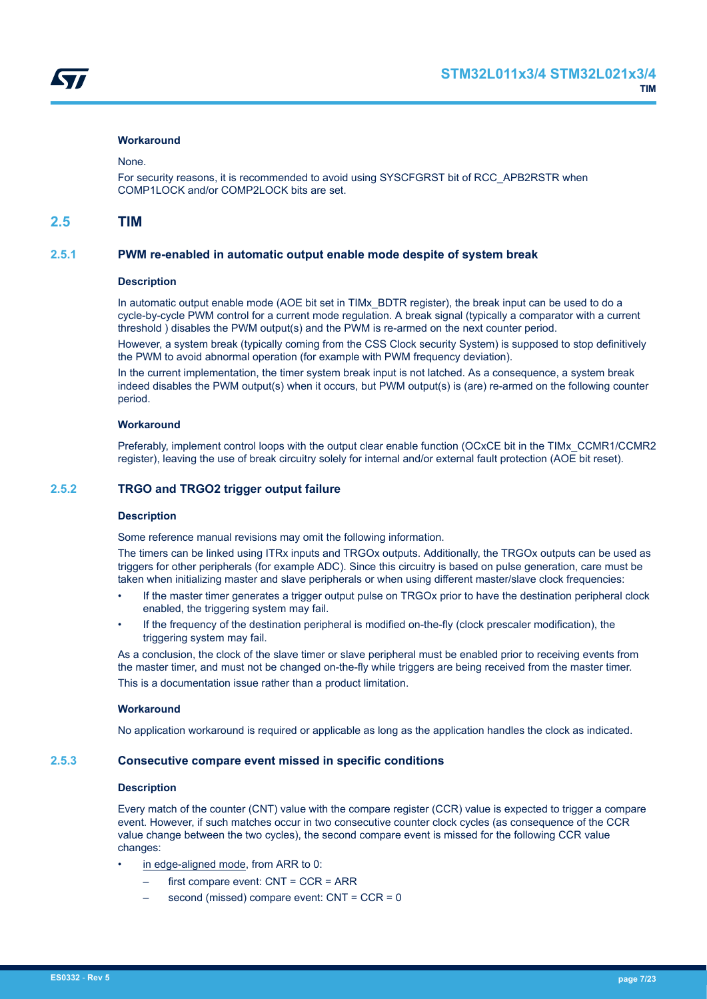#### <span id="page-6-0"></span>None.

For security reasons, it is recommended to avoid using SYSCFGRST bit of RCC\_APB2RSTR when COMP1LOCK and/or COMP2LOCK bits are set.

## **2.5 TIM**

## **2.5.1 PWM re-enabled in automatic output enable mode despite of system break**

#### **Description**

In automatic output enable mode (AOE bit set in TIMx\_BDTR register), the break input can be used to do a cycle-by-cycle PWM control for a current mode regulation. A break signal (typically a comparator with a current threshold ) disables the PWM output(s) and the PWM is re-armed on the next counter period.

However, a system break (typically coming from the CSS Clock security System) is supposed to stop definitively the PWM to avoid abnormal operation (for example with PWM frequency deviation).

In the current implementation, the timer system break input is not latched. As a consequence, a system break indeed disables the PWM output(s) when it occurs, but PWM output(s) is (are) re-armed on the following counter period.

#### **Workaround**

Preferably, implement control loops with the output clear enable function (OCxCE bit in the TIMx\_CCMR1/CCMR2 register), leaving the use of break circuitry solely for internal and/or external fault protection (AOE bit reset).

## **2.5.2 TRGO and TRGO2 trigger output failure**

#### **Description**

Some reference manual revisions may omit the following information.

The timers can be linked using ITRx inputs and TRGOx outputs. Additionally, the TRGOx outputs can be used as triggers for other peripherals (for example ADC). Since this circuitry is based on pulse generation, care must be taken when initializing master and slave peripherals or when using different master/slave clock frequencies:

- If the master timer generates a trigger output pulse on TRGOx prior to have the destination peripheral clock enabled, the triggering system may fail.
- If the frequency of the destination peripheral is modified on-the-fly (clock prescaler modification), the triggering system may fail.

As a conclusion, the clock of the slave timer or slave peripheral must be enabled prior to receiving events from the master timer, and must not be changed on-the-fly while triggers are being received from the master timer. This is a documentation issue rather than a product limitation.

#### **Workaround**

No application workaround is required or applicable as long as the application handles the clock as indicated.

## **2.5.3 Consecutive compare event missed in specific conditions**

## **Description**

Every match of the counter (CNT) value with the compare register (CCR) value is expected to trigger a compare event. However, if such matches occur in two consecutive counter clock cycles (as consequence of the CCR value change between the two cycles), the second compare event is missed for the following CCR value changes:

- in edge-aligned mode, from ARR to 0:
	- first compare event: CNT = CCR = ARR
	- second (missed) compare event: CNT = CCR = 0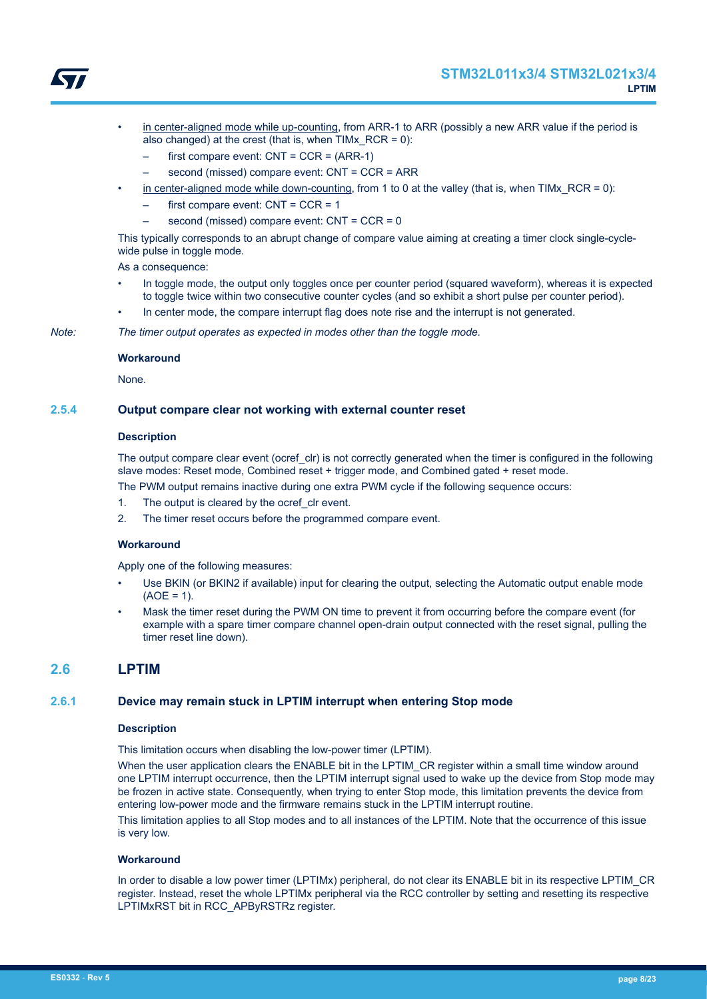

<span id="page-7-0"></span>

- in center-aligned mode while up-counting, from ARR-1 to ARR (possibly a new ARR value if the period is also changed) at the crest (that is, when  $TIMx$  RCR = 0):
	- first compare event:  $CNT = CCR = (ARR-1)$
	- second (missed) compare event: CNT = CCR = ARR
- in center-aligned mode while down-counting, from 1 to 0 at the valley (that is, when TIMx\_RCR = 0):
	- first compare event:  $CNT = CCR = 1$
	- second (missed) compare event: CNT = CCR = 0

This typically corresponds to an abrupt change of compare value aiming at creating a timer clock single-cyclewide pulse in toggle mode.

As a consequence:

- In toggle mode, the output only toggles once per counter period (squared waveform), whereas it is expected to toggle twice within two consecutive counter cycles (and so exhibit a short pulse per counter period).
- In center mode, the compare interrupt flag does note rise and the interrupt is not generated.

*Note: The timer output operates as expected in modes other than the toggle mode.*

#### **Workaround**

None.

## **2.5.4 Output compare clear not working with external counter reset**

## **Description**

The output compare clear event (ocref clr) is not correctly generated when the timer is configured in the following slave modes: Reset mode, Combined reset + trigger mode, and Combined gated + reset mode.

The PWM output remains inactive during one extra PWM cycle if the following sequence occurs:

- 1. The output is cleared by the ocref clr event.
- 2. The timer reset occurs before the programmed compare event.

#### **Workaround**

Apply one of the following measures:

- Use BKIN (or BKIN2 if available) input for clearing the output, selecting the Automatic output enable mode  $(AOE = 1)$ .
- Mask the timer reset during the PWM ON time to prevent it from occurring before the compare event (for example with a spare timer compare channel open-drain output connected with the reset signal, pulling the timer reset line down).

## **2.6 LPTIM**

## **2.6.1 Device may remain stuck in LPTIM interrupt when entering Stop mode**

#### **Description**

This limitation occurs when disabling the low-power timer (LPTIM).

When the user application clears the ENABLE bit in the LPTIM CR register within a small time window around one LPTIM interrupt occurrence, then the LPTIM interrupt signal used to wake up the device from Stop mode may be frozen in active state. Consequently, when trying to enter Stop mode, this limitation prevents the device from entering low-power mode and the firmware remains stuck in the LPTIM interrupt routine.

This limitation applies to all Stop modes and to all instances of the LPTIM. Note that the occurrence of this issue is very low.

#### **Workaround**

In order to disable a low power timer (LPTIMx) peripheral, do not clear its ENABLE bit in its respective LPTIM\_CR register. Instead, reset the whole LPTIMx peripheral via the RCC controller by setting and resetting its respective LPTIMxRST bit in RCC\_APByRSTRz register.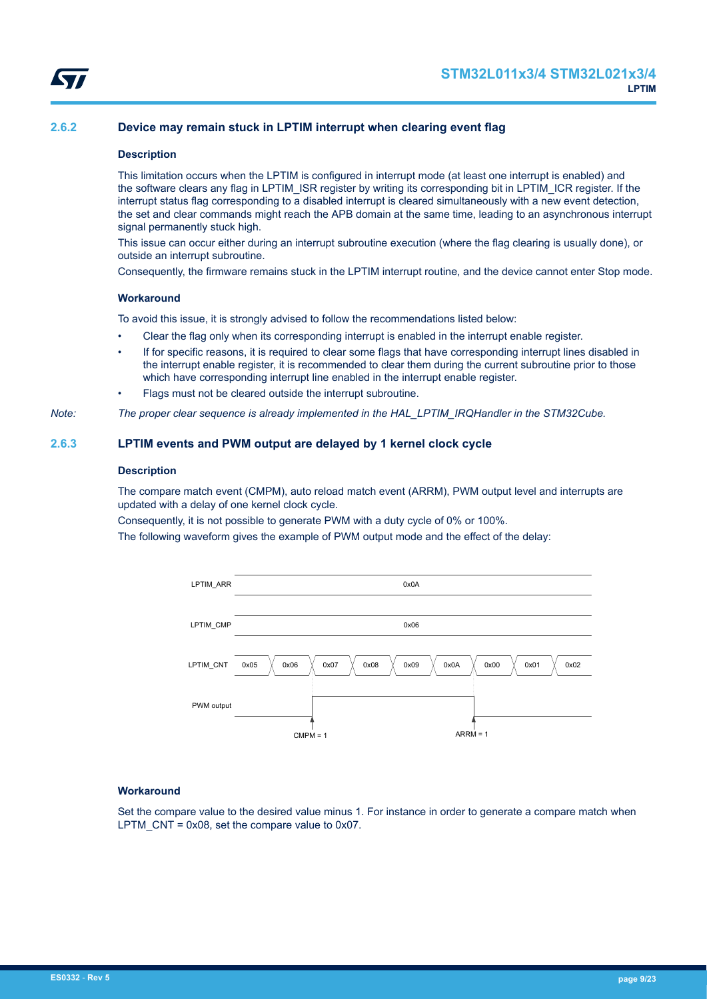<span id="page-8-0"></span>

## **2.6.2 Device may remain stuck in LPTIM interrupt when clearing event flag**

#### **Description**

This limitation occurs when the LPTIM is configured in interrupt mode (at least one interrupt is enabled) and the software clears any flag in LPTIM\_ISR register by writing its corresponding bit in LPTIM\_ICR register. If the interrupt status flag corresponding to a disabled interrupt is cleared simultaneously with a new event detection, the set and clear commands might reach the APB domain at the same time, leading to an asynchronous interrupt signal permanently stuck high.

This issue can occur either during an interrupt subroutine execution (where the flag clearing is usually done), or outside an interrupt subroutine.

Consequently, the firmware remains stuck in the LPTIM interrupt routine, and the device cannot enter Stop mode.

#### **Workaround**

To avoid this issue, it is strongly advised to follow the recommendations listed below:

- Clear the flag only when its corresponding interrupt is enabled in the interrupt enable register.
- If for specific reasons, it is required to clear some flags that have corresponding interrupt lines disabled in the interrupt enable register, it is recommended to clear them during the current subroutine prior to those which have corresponding interrupt line enabled in the interrupt enable register.

Flags must not be cleared outside the interrupt subroutine.

*Note: The proper clear sequence is already implemented in the HAL\_LPTIM\_IRQHandler in the STM32Cube.*

## **2.6.3 LPTIM events and PWM output are delayed by 1 kernel clock cycle**

#### **Description**

The compare match event (CMPM), auto reload match event (ARRM), PWM output level and interrupts are updated with a delay of one kernel clock cycle.

Consequently, it is not possible to generate PWM with a duty cycle of 0% or 100%.

The following waveform gives the example of PWM output mode and the effect of the delay:



#### **Workaround**

Set the compare value to the desired value minus 1. For instance in order to generate a compare match when LPTM  $CNT = 0x08$ , set the compare value to 0x07.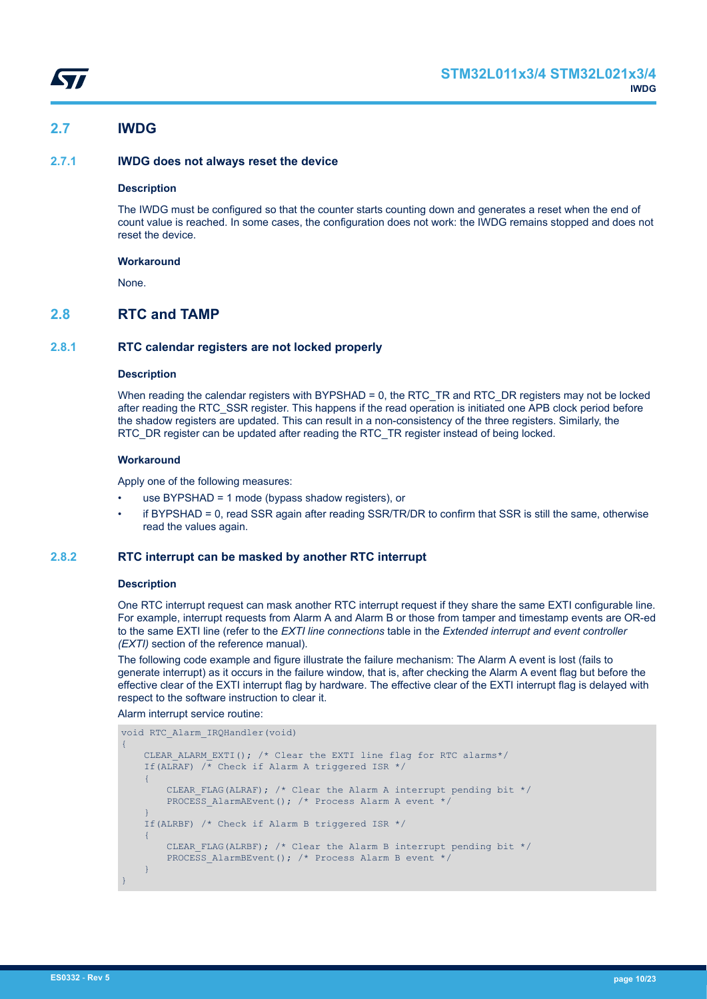<span id="page-9-0"></span>

## **2.7 IWDG**

## **2.7.1 IWDG does not always reset the device**

## **Description**

The IWDG must be configured so that the counter starts counting down and generates a reset when the end of count value is reached. In some cases, the configuration does not work: the IWDG remains stopped and does not reset the device.

## **Workaround**

None.

## **2.8 RTC and TAMP**

## **2.8.1 RTC calendar registers are not locked properly**

#### **Description**

When reading the calendar registers with BYPSHAD = 0, the RTC\_TR and RTC\_DR registers may not be locked after reading the RTC\_SSR register. This happens if the read operation is initiated one APB clock period before the shadow registers are updated. This can result in a non-consistency of the three registers. Similarly, the RTC\_DR register can be updated after reading the RTC\_TR register instead of being locked.

## **Workaround**

Apply one of the following measures:

- use BYPSHAD = 1 mode (bypass shadow registers), or
- if BYPSHAD = 0, read SSR again after reading SSR/TR/DR to confirm that SSR is still the same, otherwise read the values again.

## **2.8.2 RTC interrupt can be masked by another RTC interrupt**

## **Description**

One RTC interrupt request can mask another RTC interrupt request if they share the same EXTI configurable line. For example, interrupt requests from Alarm A and Alarm B or those from tamper and timestamp events are OR-ed to the same EXTI line (refer to the *EXTI line connections* table in the *Extended interrupt and event controller (EXTI)* section of the reference manual).

The following code example and figure illustrate the failure mechanism: The Alarm A event is lost (fails to generate interrupt) as it occurs in the failure window, that is, after checking the Alarm A event flag but before the effective clear of the EXTI interrupt flag by hardware. The effective clear of the EXTI interrupt flag is delayed with respect to the software instruction to clear it.

#### Alarm interrupt service routine:

```
void RTC_Alarm_IRQHandler(void)
{
     CLEAR ALARM EXTI(); /* Clear the EXTI line flag for RTC alarms*/
     If(ALRAF) \sqrt{*} Check if Alarm A triggered ISR */
      {
          CLEAR FLAG(ALRAF); /* Clear the Alarm A interrupt pending bit */
          PROCESS AlarmAEvent(); /* Process Alarm A event */
\left\{\begin{array}{cc} 1 & 1 \\ 1 & 1 \end{array}\right\} If(ALRBF) /* Check if Alarm B triggered ISR */
      {
          CLEAR FLAG(ALRBF); /* Clear the Alarm B interrupt pending bit */
          PROCESS AlarmBEvent(); /* Process Alarm B event */
\left\{\begin{array}{cc} 1 & 1 \\ 1 & 1 \end{array}\right\}}
```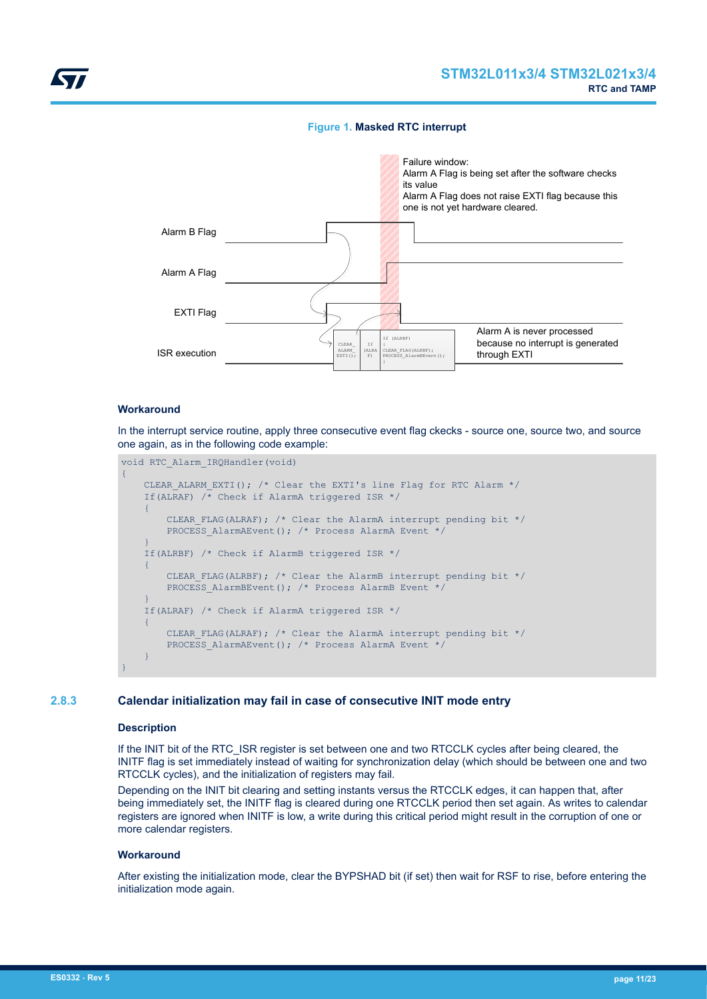## **Figure 1. Masked RTC interrupt**

<span id="page-10-0"></span>

## **Workaround**

In the interrupt service routine, apply three consecutive event flag ckecks - source one, source two, and source one again, as in the following code example:

```
void RTC_Alarm_IRQHandler(void)
{
     CLEAR_ALARM_EXTI(); /* Clear the EXTI's line Flag for RTC Alarm */
     If(ALRAF) /* Check if AlarmA triggered ISR */
    \left\{ \right.CLEAR FLAG(ALRAF); /* Clear the AlarmA interrupt pending bit */
         PROCESS AlarmAEvent(); /* Process AlarmA Event */
     }
     If(ALRBF) /* Check if AlarmB triggered ISR */
      {
         CLEAR FLAG(ALRBF); /* Clear the AlarmB interrupt pending bit */
         PROCESS AlarmBEvent(); /* Process AlarmB Event */
\left\{\begin{array}{cc} 1 & 1 \\ 1 & 1 \end{array}\right\} If(ALRAF) /* Check if AlarmA triggered ISR */
      {
         CLEAR FLAG(ALRAF); /* Clear the AlarmA interrupt pending bit */
         PROCESS AlarmAEvent(); /* Process AlarmA Event */
\longrightarrow}
```
## **2.8.3 Calendar initialization may fail in case of consecutive INIT mode entry**

## **Description**

If the INIT bit of the RTC\_ISR register is set between one and two RTCCLK cycles after being cleared, the INITF flag is set immediately instead of waiting for synchronization delay (which should be between one and two RTCCLK cycles), and the initialization of registers may fail.

Depending on the INIT bit clearing and setting instants versus the RTCCLK edges, it can happen that, after being immediately set, the INITF flag is cleared during one RTCCLK period then set again. As writes to calendar registers are ignored when INITF is low, a write during this critical period might result in the corruption of one or more calendar registers.

#### **Workaround**

After existing the initialization mode, clear the BYPSHAD bit (if set) then wait for RSF to rise, before entering the initialization mode again.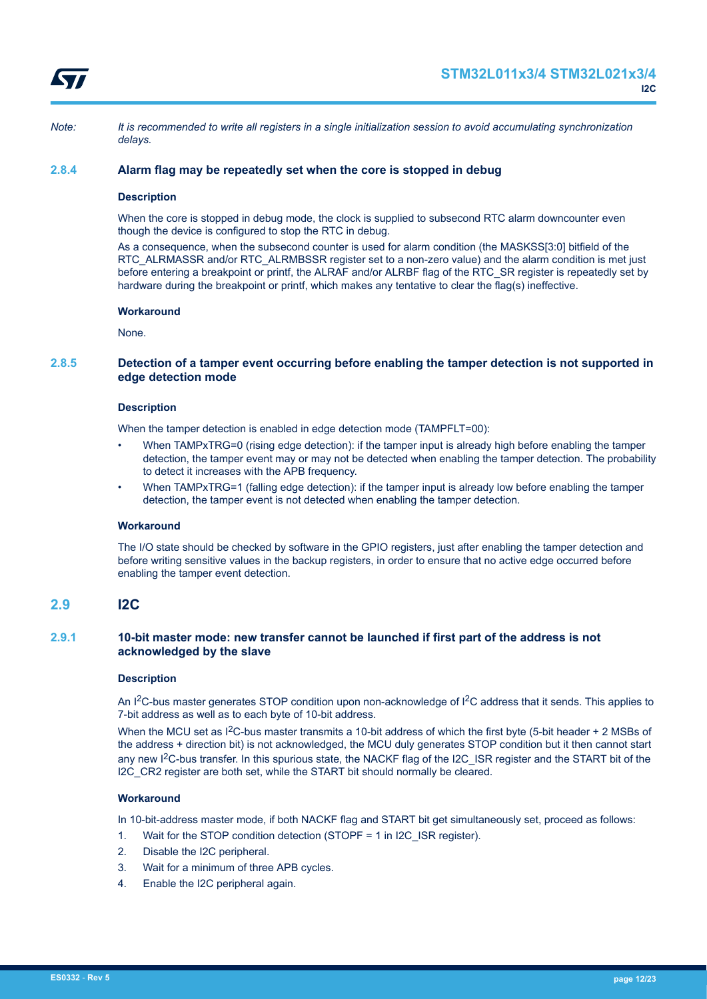<span id="page-11-0"></span>

*Note: It is recommended to write all registers in a single initialization session to avoid accumulating synchronization delays.*

## **2.8.4 Alarm flag may be repeatedly set when the core is stopped in debug**

#### **Description**

When the core is stopped in debug mode, the clock is supplied to subsecond RTC alarm downcounter even though the device is configured to stop the RTC in debug.

As a consequence, when the subsecond counter is used for alarm condition (the MASKSS[3:0] bitfield of the RTC\_ALRMASSR and/or RTC\_ALRMBSSR register set to a non-zero value) and the alarm condition is met just before entering a breakpoint or printf, the ALRAF and/or ALRBF flag of the RTC\_SR register is repeatedly set by hardware during the breakpoint or printf, which makes any tentative to clear the flag(s) ineffective.

#### **Workaround**

None.

## **2.8.5 Detection of a tamper event occurring before enabling the tamper detection is not supported in edge detection mode**

#### **Description**

When the tamper detection is enabled in edge detection mode (TAMPFLT=00):

- When TAMPxTRG=0 (rising edge detection): if the tamper input is already high before enabling the tamper detection, the tamper event may or may not be detected when enabling the tamper detection. The probability to detect it increases with the APB frequency.
- When TAMPxTRG=1 (falling edge detection): if the tamper input is already low before enabling the tamper detection, the tamper event is not detected when enabling the tamper detection.

## **Workaround**

The I/O state should be checked by software in the GPIO registers, just after enabling the tamper detection and before writing sensitive values in the backup registers, in order to ensure that no active edge occurred before enabling the tamper event detection.

## **2.9 I2C**

## **2.9.1 10-bit master mode: new transfer cannot be launched if first part of the address is not acknowledged by the slave**

#### **Description**

An I<sup>2</sup>C-bus master generates STOP condition upon non-acknowledge of I<sup>2</sup>C address that it sends. This applies to 7-bit address as well as to each byte of 10-bit address.

When the MCU set as  $1^2C$ -bus master transmits a 10-bit address of which the first byte (5-bit header + 2 MSBs of the address + direction bit) is not acknowledged, the MCU duly generates STOP condition but it then cannot start any new I<sup>2</sup>C-bus transfer. In this spurious state, the NACKF flag of the I2C\_ISR register and the START bit of the I2C CR2 register are both set, while the START bit should normally be cleared.

## **Workaround**

In 10-bit-address master mode, if both NACKF flag and START bit get simultaneously set, proceed as follows:

- 1. Wait for the STOP condition detection (STOPF = 1 in I2C\_ISR register).
- 2. Disable the I2C peripheral.
- 3. Wait for a minimum of three APB cycles.
- 4. Enable the I2C peripheral again.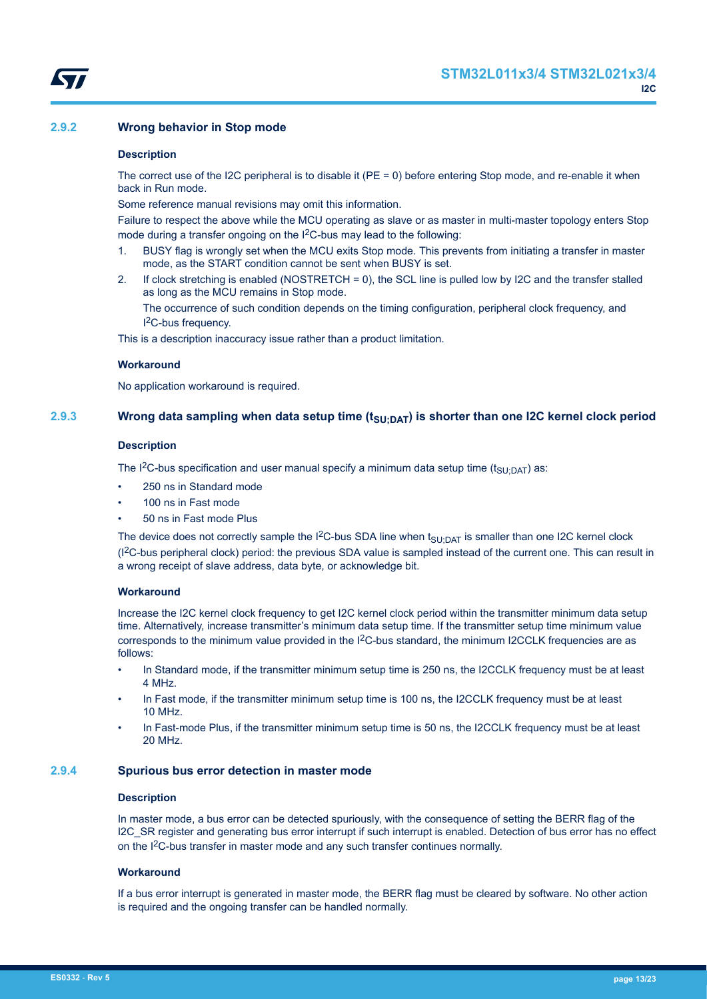## <span id="page-12-0"></span>**2.9.2 Wrong behavior in Stop mode**

#### **Description**

The correct use of the I2C peripheral is to disable it (PE = 0) before entering Stop mode, and re-enable it when back in Run mode.

Some reference manual revisions may omit this information.

Failure to respect the above while the MCU operating as slave or as master in multi-master topology enters Stop mode during a transfer ongoing on the I<sup>2</sup>C-bus may lead to the following:

- 1. BUSY flag is wrongly set when the MCU exits Stop mode. This prevents from initiating a transfer in master mode, as the START condition cannot be sent when BUSY is set.
- 2. If clock stretching is enabled (NOSTRETCH = 0), the SCL line is pulled low by I2C and the transfer stalled as long as the MCU remains in Stop mode.

The occurrence of such condition depends on the timing configuration, peripheral clock frequency, and I <sup>2</sup>C-bus frequency.

This is a description inaccuracy issue rather than a product limitation.

## **Workaround**

No application workaround is required.

## **2.9.3 Wrong data sampling when data setup time (tSU;DAT) is shorter than one I2C kernel clock period**

#### **Description**

The I<sup>2</sup>C-bus specification and user manual specify a minimum data setup time (t<sub>SU;DAT</sub>) as:

- 250 ns in Standard mode
- 100 ns in Fast mode
- 50 ns in Fast mode Plus

The device does not correctly sample the I<sup>2</sup>C-bus SDA line when  $t_{SU;DAT}$  is smaller than one I2C kernel clock (I2C-bus peripheral clock) period: the previous SDA value is sampled instead of the current one. This can result in a wrong receipt of slave address, data byte, or acknowledge bit.

## **Workaround**

Increase the I2C kernel clock frequency to get I2C kernel clock period within the transmitter minimum data setup time. Alternatively, increase transmitter's minimum data setup time. If the transmitter setup time minimum value corresponds to the minimum value provided in the  $12C$ -bus standard, the minimum I2CCLK frequencies are as follows:

- In Standard mode, if the transmitter minimum setup time is 250 ns, the I2CCLK frequency must be at least 4 MHz.
- In Fast mode, if the transmitter minimum setup time is 100 ns, the I2CCLK frequency must be at least 10 MHz.
- In Fast-mode Plus, if the transmitter minimum setup time is 50 ns, the I2CCLK frequency must be at least 20 MHz.

## **2.9.4 Spurious bus error detection in master mode**

### **Description**

In master mode, a bus error can be detected spuriously, with the consequence of setting the BERR flag of the I2C\_SR register and generating bus error interrupt if such interrupt is enabled. Detection of bus error has no effect on the I<sup>2</sup>C-bus transfer in master mode and any such transfer continues normally.

## **Workaround**

If a bus error interrupt is generated in master mode, the BERR flag must be cleared by software. No other action is required and the ongoing transfer can be handled normally.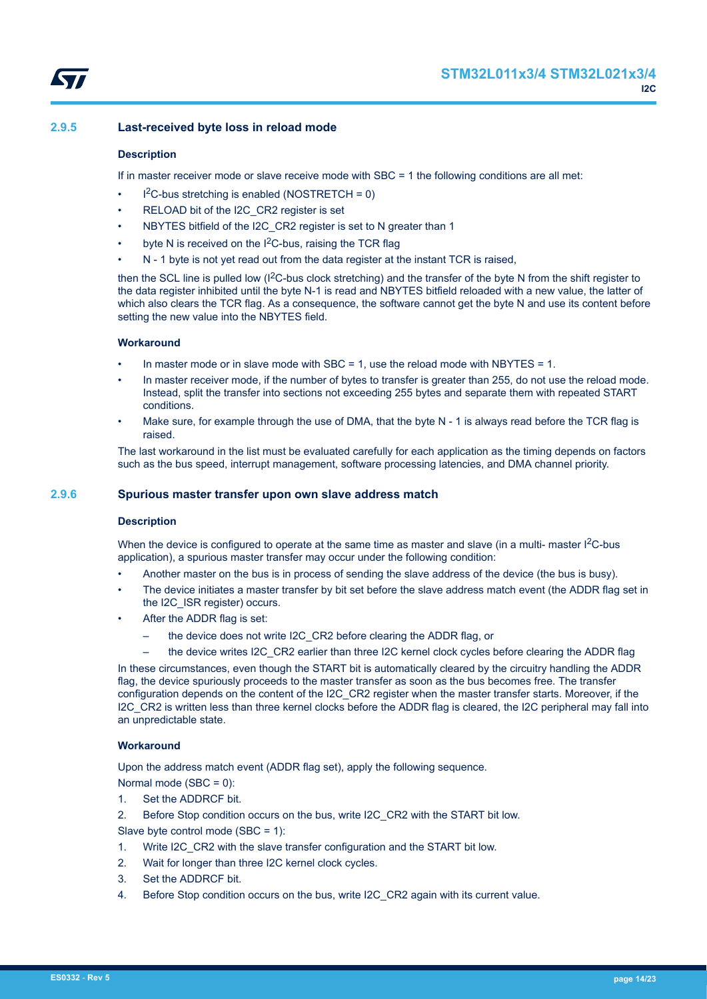## <span id="page-13-0"></span>**2.9.5 Last-received byte loss in reload mode**

#### **Description**

If in master receiver mode or slave receive mode with SBC = 1 the following conditions are all met:

- $l^2C$ -bus stretching is enabled (NOSTRETCH = 0)
- RELOAD bit of the I2C\_CR2 register is set
- NBYTES bitfield of the I2C\_CR2 register is set to N greater than 1
- byte N is received on the  $1<sup>2</sup>C$ -bus, raising the TCR flag
- N 1 byte is not yet read out from the data register at the instant TCR is raised,

then the SCL line is pulled low (I<sup>2</sup>C-bus clock stretching) and the transfer of the byte N from the shift register to the data register inhibited until the byte N-1 is read and NBYTES bitfield reloaded with a new value, the latter of which also clears the TCR flag. As a consequence, the software cannot get the byte N and use its content before setting the new value into the NBYTES field.

## **Workaround**

- In master mode or in slave mode with SBC = 1, use the reload mode with NBYTES = 1.
- In master receiver mode, if the number of bytes to transfer is greater than 255, do not use the reload mode. Instead, split the transfer into sections not exceeding 255 bytes and separate them with repeated START conditions.
- Make sure, for example through the use of DMA, that the byte N 1 is always read before the TCR flag is raised.

The last workaround in the list must be evaluated carefully for each application as the timing depends on factors such as the bus speed, interrupt management, software processing latencies, and DMA channel priority.

## **2.9.6 Spurious master transfer upon own slave address match**

#### **Description**

When the device is configured to operate at the same time as master and slave (in a multi- master  $1^2C$ -bus application), a spurious master transfer may occur under the following condition:

- Another master on the bus is in process of sending the slave address of the device (the bus is busy).
- The device initiates a master transfer by bit set before the slave address match event (the ADDR flag set in the I2C\_ISR register) occurs.
- After the ADDR flag is set:
	- the device does not write I2C\_CR2 before clearing the ADDR flag, or
	- the device writes I2C\_CR2 earlier than three I2C kernel clock cycles before clearing the ADDR flag

In these circumstances, even though the START bit is automatically cleared by the circuitry handling the ADDR flag, the device spuriously proceeds to the master transfer as soon as the bus becomes free. The transfer configuration depends on the content of the I2C\_CR2 register when the master transfer starts. Moreover, if the I2C\_CR2 is written less than three kernel clocks before the ADDR flag is cleared, the I2C peripheral may fall into an unpredictable state.

## **Workaround**

Upon the address match event (ADDR flag set), apply the following sequence.

Normal mode (SBC = 0):

1. Set the ADDRCF bit.

2. Before Stop condition occurs on the bus, write I2C\_CR2 with the START bit low.

Slave byte control mode (SBC = 1):

- 1. Write I2C\_CR2 with the slave transfer configuration and the START bit low.
- 2. Wait for longer than three I2C kernel clock cycles.
- 3. Set the ADDRCF bit.
- 4. Before Stop condition occurs on the bus, write I2C\_CR2 again with its current value.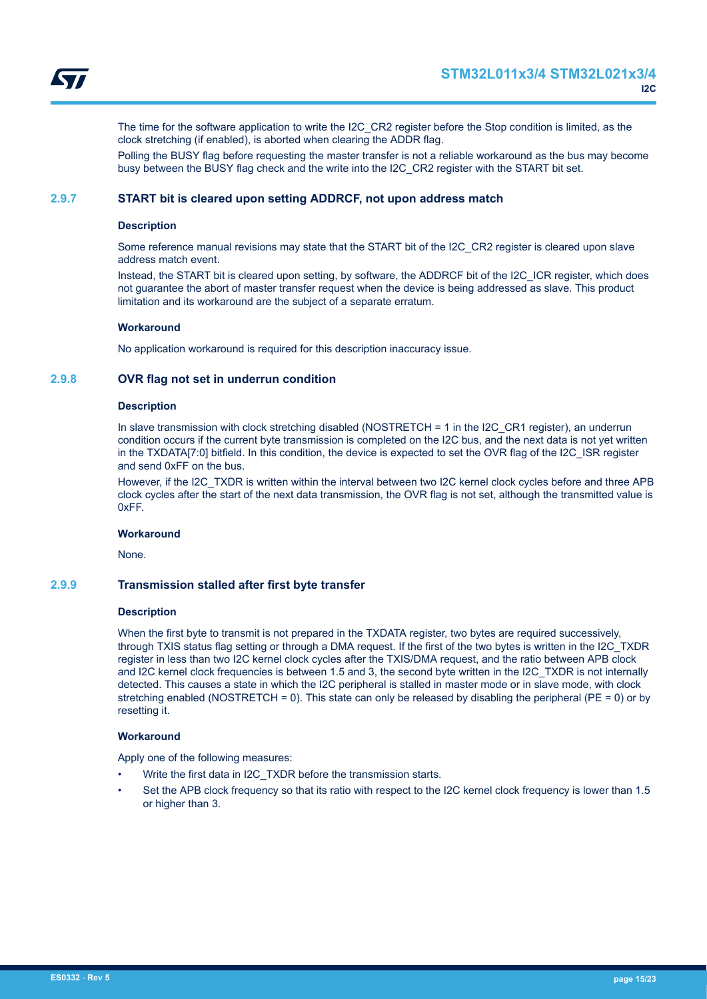<span id="page-14-0"></span>

The time for the software application to write the I2C\_CR2 register before the Stop condition is limited, as the clock stretching (if enabled), is aborted when clearing the ADDR flag.

Polling the BUSY flag before requesting the master transfer is not a reliable workaround as the bus may become busy between the BUSY flag check and the write into the I2C\_CR2 register with the START bit set.

## **2.9.7 START bit is cleared upon setting ADDRCF, not upon address match**

#### **Description**

Some reference manual revisions may state that the START bit of the I2C\_CR2 register is cleared upon slave address match event.

Instead, the START bit is cleared upon setting, by software, the ADDRCF bit of the I2C\_ICR register, which does not guarantee the abort of master transfer request when the device is being addressed as slave. This product limitation and its workaround are the subject of a separate erratum.

## **Workaround**

No application workaround is required for this description inaccuracy issue.

## **2.9.8 OVR flag not set in underrun condition**

#### **Description**

In slave transmission with clock stretching disabled (NOSTRETCH = 1 in the I2C\_CR1 register), an underrun condition occurs if the current byte transmission is completed on the I2C bus, and the next data is not yet written in the TXDATA[7:0] bitfield. In this condition, the device is expected to set the OVR flag of the I2C\_ISR register and send 0xFF on the bus.

However, if the I2C TXDR is written within the interval between two I2C kernel clock cycles before and three APB clock cycles after the start of the next data transmission, the OVR flag is not set, although the transmitted value is 0xFF.

#### **Workaround**

None.

## **2.9.9 Transmission stalled after first byte transfer**

#### **Description**

When the first byte to transmit is not prepared in the TXDATA register, two bytes are required successively, through TXIS status flag setting or through a DMA request. If the first of the two bytes is written in the I2C\_TXDR register in less than two I2C kernel clock cycles after the TXIS/DMA request, and the ratio between APB clock and I2C kernel clock frequencies is between 1.5 and 3, the second byte written in the I2C\_TXDR is not internally detected. This causes a state in which the I2C peripheral is stalled in master mode or in slave mode, with clock stretching enabled (NOSTRETCH = 0). This state can only be released by disabling the peripheral ( $PE = 0$ ) or by resetting it.

#### **Workaround**

Apply one of the following measures:

- Write the first data in I2C\_TXDR before the transmission starts.
- Set the APB clock frequency so that its ratio with respect to the I2C kernel clock frequency is lower than 1.5 or higher than 3.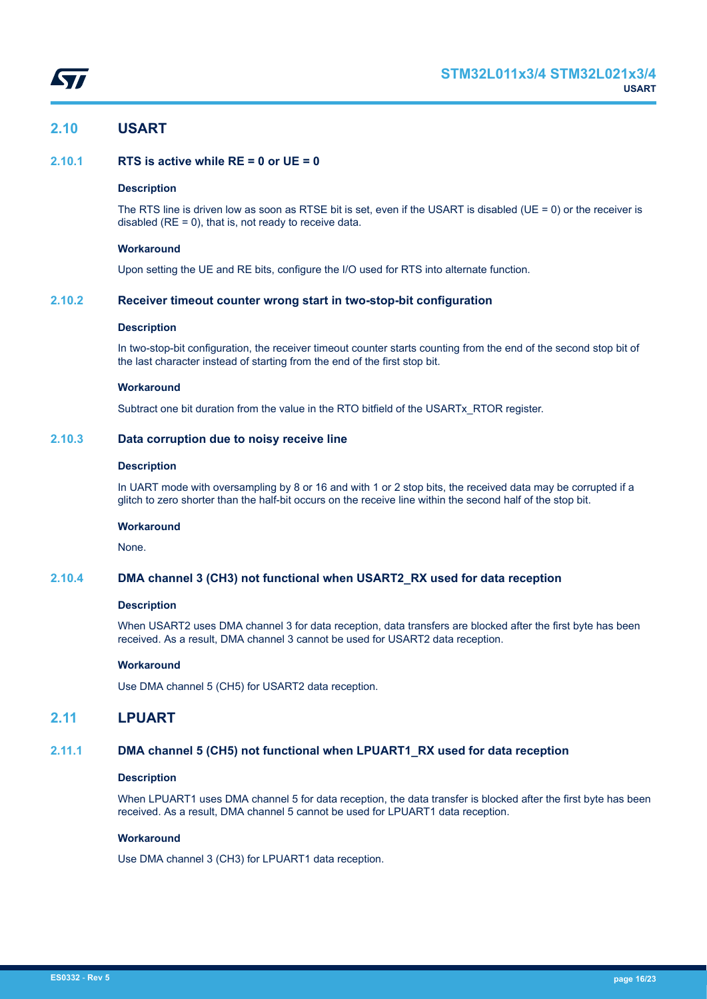<span id="page-15-0"></span>

## **2.10 USART**

## **2.10.1 RTS is active while RE = 0 or UE = 0**

## **Description**

The RTS line is driven low as soon as RTSE bit is set, even if the USART is disabled (UE = 0) or the receiver is disabled  $(RE = 0)$ , that is, not ready to receive data.

#### **Workaround**

Upon setting the UE and RE bits, configure the I/O used for RTS into alternate function.

## **2.10.2 Receiver timeout counter wrong start in two-stop-bit configuration**

#### **Description**

In two-stop-bit configuration, the receiver timeout counter starts counting from the end of the second stop bit of the last character instead of starting from the end of the first stop bit.

## **Workaround**

Subtract one bit duration from the value in the RTO bitfield of the USARTx\_RTOR register.

## **2.10.3 Data corruption due to noisy receive line**

#### **Description**

In UART mode with oversampling by 8 or 16 and with 1 or 2 stop bits, the received data may be corrupted if a glitch to zero shorter than the half-bit occurs on the receive line within the second half of the stop bit.

## **Workaround**

None.

## **2.10.4 DMA channel 3 (CH3) not functional when USART2\_RX used for data reception**

#### **Description**

When USART2 uses DMA channel 3 for data reception, data transfers are blocked after the first byte has been received. As a result, DMA channel 3 cannot be used for USART2 data reception.

#### **Workaround**

Use DMA channel 5 (CH5) for USART2 data reception.

## **2.11 LPUART**

## **2.11.1 DMA channel 5 (CH5) not functional when LPUART1\_RX used for data reception**

## **Description**

When LPUART1 uses DMA channel 5 for data reception, the data transfer is blocked after the first byte has been received. As a result, DMA channel 5 cannot be used for LPUART1 data reception.

#### **Workaround**

Use DMA channel 3 (CH3) for LPUART1 data reception.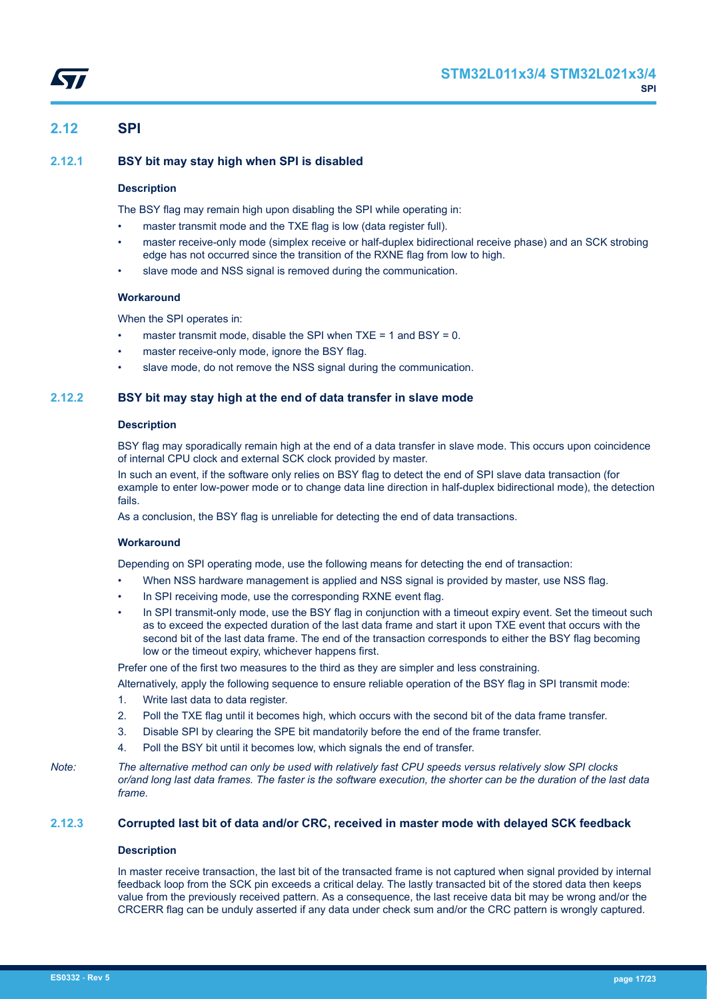

## <span id="page-16-0"></span>**2.12 SPI**

## **2.12.1 BSY bit may stay high when SPI is disabled**

## **Description**

The BSY flag may remain high upon disabling the SPI while operating in:

- master transmit mode and the TXE flag is low (data register full).
- master receive-only mode (simplex receive or half-duplex bidirectional receive phase) and an SCK strobing edge has not occurred since the transition of the RXNE flag from low to high.
- slave mode and NSS signal is removed during the communication.

## **Workaround**

When the SPI operates in:

- master transmit mode, disable the SPI when  $TXE = 1$  and  $BSY = 0$ .
- master receive-only mode, ignore the BSY flag.
- slave mode, do not remove the NSS signal during the communication.

## **2.12.2 BSY bit may stay high at the end of data transfer in slave mode**

#### **Description**

BSY flag may sporadically remain high at the end of a data transfer in slave mode. This occurs upon coincidence of internal CPU clock and external SCK clock provided by master.

In such an event, if the software only relies on BSY flag to detect the end of SPI slave data transaction (for example to enter low-power mode or to change data line direction in half-duplex bidirectional mode), the detection fails.

As a conclusion, the BSY flag is unreliable for detecting the end of data transactions.

#### **Workaround**

Depending on SPI operating mode, use the following means for detecting the end of transaction:

- When NSS hardware management is applied and NSS signal is provided by master, use NSS flag.
- In SPI receiving mode, use the corresponding RXNE event flag.
- In SPI transmit-only mode, use the BSY flag in conjunction with a timeout expiry event. Set the timeout such as to exceed the expected duration of the last data frame and start it upon TXE event that occurs with the second bit of the last data frame. The end of the transaction corresponds to either the BSY flag becoming low or the timeout expiry, whichever happens first.

Prefer one of the first two measures to the third as they are simpler and less constraining.

- Alternatively, apply the following sequence to ensure reliable operation of the BSY flag in SPI transmit mode:
- 1. Write last data to data register.
- 2. Poll the TXE flag until it becomes high, which occurs with the second bit of the data frame transfer.
- 3. Disable SPI by clearing the SPE bit mandatorily before the end of the frame transfer.
- 4. Poll the BSY bit until it becomes low, which signals the end of transfer.

*Note: The alternative method can only be used with relatively fast CPU speeds versus relatively slow SPI clocks or/and long last data frames. The faster is the software execution, the shorter can be the duration of the last data frame.*

## **2.12.3 Corrupted last bit of data and/or CRC, received in master mode with delayed SCK feedback**

#### **Description**

In master receive transaction, the last bit of the transacted frame is not captured when signal provided by internal feedback loop from the SCK pin exceeds a critical delay. The lastly transacted bit of the stored data then keeps value from the previously received pattern. As a consequence, the last receive data bit may be wrong and/or the CRCERR flag can be unduly asserted if any data under check sum and/or the CRC pattern is wrongly captured.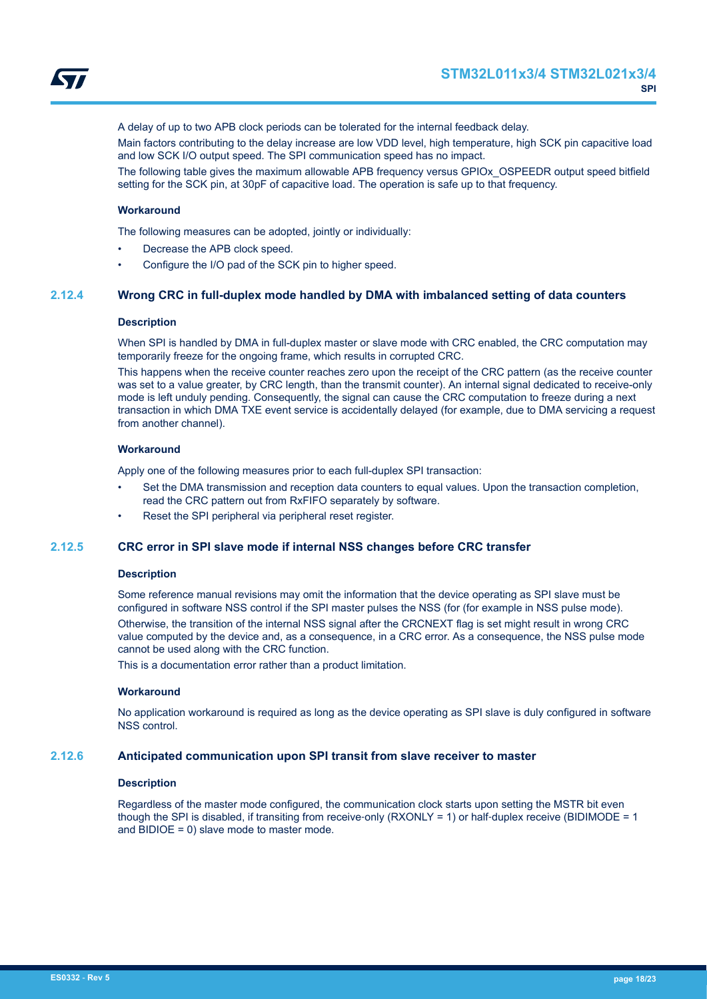

<span id="page-17-0"></span>

A delay of up to two APB clock periods can be tolerated for the internal feedback delay.

Main factors contributing to the delay increase are low VDD level, high temperature, high SCK pin capacitive load and low SCK I/O output speed. The SPI communication speed has no impact.

The following table gives the maximum allowable APB frequency versus GPIOx\_OSPEEDR output speed bitfield setting for the SCK pin, at 30pF of capacitive load. The operation is safe up to that frequency.

#### **Workaround**

The following measures can be adopted, jointly or individually:

- Decrease the APB clock speed.
- Configure the I/O pad of the SCK pin to higher speed.

## **2.12.4 Wrong CRC in full-duplex mode handled by DMA with imbalanced setting of data counters**

#### **Description**

When SPI is handled by DMA in full-duplex master or slave mode with CRC enabled, the CRC computation may temporarily freeze for the ongoing frame, which results in corrupted CRC.

This happens when the receive counter reaches zero upon the receipt of the CRC pattern (as the receive counter was set to a value greater, by CRC length, than the transmit counter). An internal signal dedicated to receive-only mode is left unduly pending. Consequently, the signal can cause the CRC computation to freeze during a next transaction in which DMA TXE event service is accidentally delayed (for example, due to DMA servicing a request from another channel).

## **Workaround**

Apply one of the following measures prior to each full-duplex SPI transaction:

- Set the DMA transmission and reception data counters to equal values. Upon the transaction completion, read the CRC pattern out from RxFIFO separately by software.
- Reset the SPI peripheral via peripheral reset register.

## **2.12.5 CRC error in SPI slave mode if internal NSS changes before CRC transfer**

#### **Description**

Some reference manual revisions may omit the information that the device operating as SPI slave must be configured in software NSS control if the SPI master pulses the NSS (for (for example in NSS pulse mode). Otherwise, the transition of the internal NSS signal after the CRCNEXT flag is set might result in wrong CRC value computed by the device and, as a consequence, in a CRC error. As a consequence, the NSS pulse mode cannot be used along with the CRC function.

This is a documentation error rather than a product limitation.

#### **Workaround**

No application workaround is required as long as the device operating as SPI slave is duly configured in software NSS control.

#### **2.12.6 Anticipated communication upon SPI transit from slave receiver to master**

#### **Description**

Regardless of the master mode configured, the communication clock starts upon setting the MSTR bit even though the SPI is disabled, if transiting from receive-only (RXONLY = 1) or half-duplex receive (BIDIMODE = 1 and BIDIOE = 0) slave mode to master mode.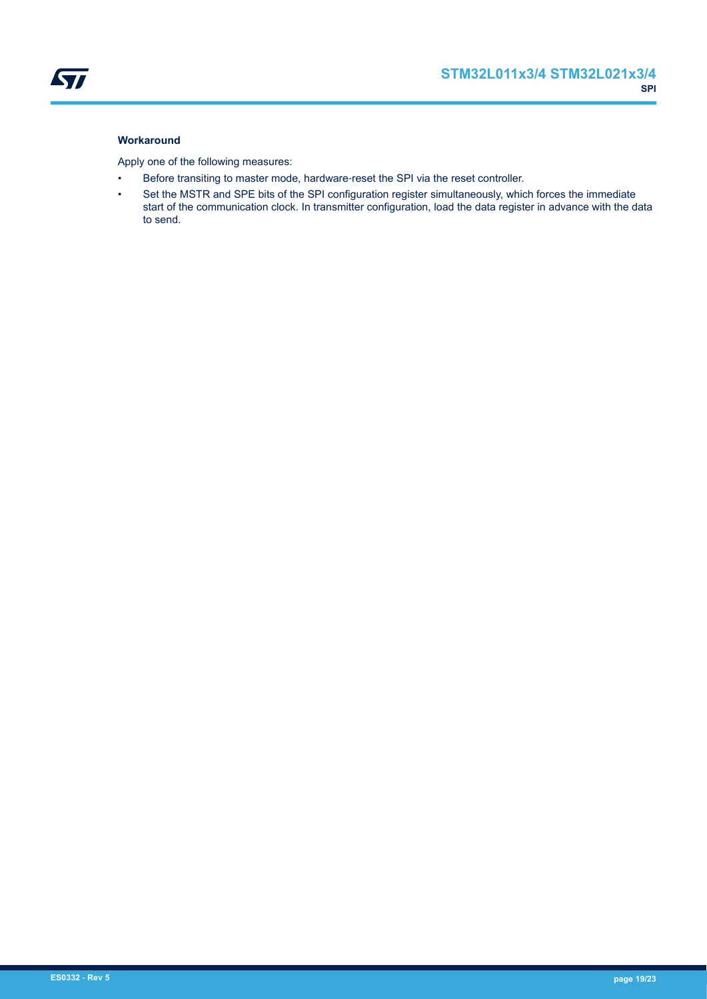

Apply one of the following measures:

- Before transiting to master mode, hardware-reset the SPI via the reset controller.
- Set the MSTR and SPE bits of the SPI configuration register simultaneously, which forces the immediate start of the communication clock. In transmitter configuration, load the data register in advance with the data to send.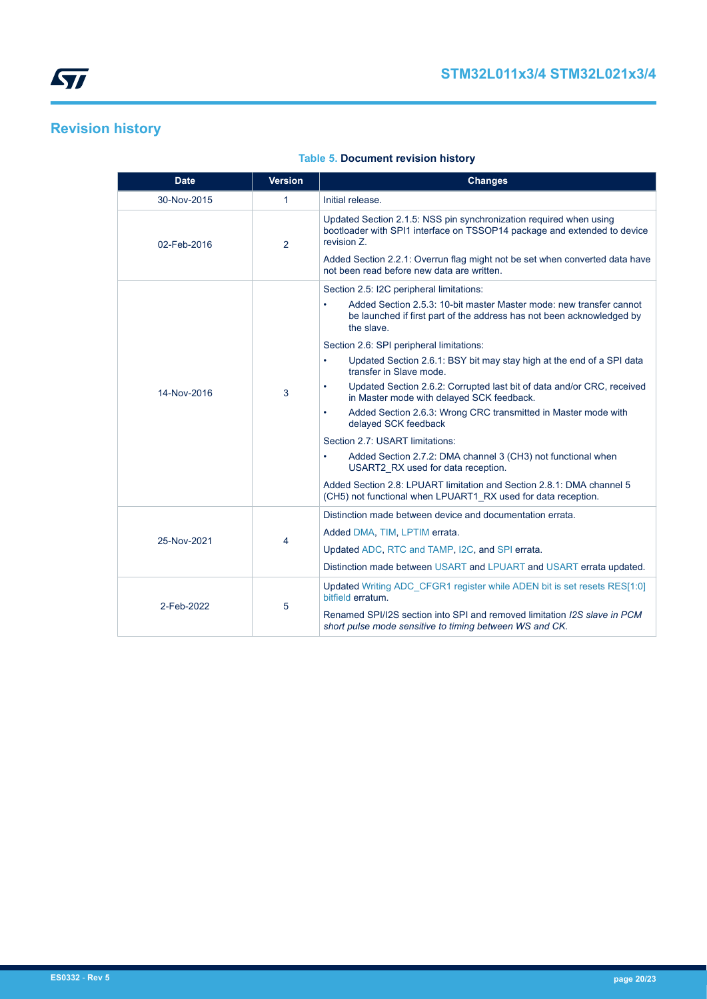# <span id="page-19-0"></span>**Revision history**

| <b>Date</b> | <b>Version</b> | <b>Changes</b>                                                                                                                                                                                                                                                                             |
|-------------|----------------|--------------------------------------------------------------------------------------------------------------------------------------------------------------------------------------------------------------------------------------------------------------------------------------------|
| 30-Nov-2015 | 1              | Initial release.                                                                                                                                                                                                                                                                           |
| 02-Feb-2016 | 2              | Updated Section 2.1.5: NSS pin synchronization required when using<br>bootloader with SPI1 interface on TSSOP14 package and extended to device<br>revision Z.<br>Added Section 2.2.1: Overrun flag might not be set when converted data have<br>not been read before new data are written. |
|             |                | Section 2.5: I2C peripheral limitations:                                                                                                                                                                                                                                                   |
|             |                | Added Section 2.5.3: 10-bit master Master mode: new transfer cannot<br>be launched if first part of the address has not been acknowledged by<br>the slave.                                                                                                                                 |
|             |                | Section 2.6: SPI peripheral limitations:                                                                                                                                                                                                                                                   |
|             | 3              | Updated Section 2.6.1: BSY bit may stay high at the end of a SPI data<br>$\bullet$<br>transfer in Slave mode.                                                                                                                                                                              |
| 14-Nov-2016 |                | Updated Section 2.6.2: Corrupted last bit of data and/or CRC, received<br>in Master mode with delayed SCK feedback.                                                                                                                                                                        |
|             |                | Added Section 2.6.3: Wrong CRC transmitted in Master mode with<br>delayed SCK feedback                                                                                                                                                                                                     |
|             |                | Section 2.7: USART limitations:                                                                                                                                                                                                                                                            |
|             |                | Added Section 2.7.2: DMA channel 3 (CH3) not functional when<br>USART2 RX used for data reception.                                                                                                                                                                                         |
|             |                | Added Section 2.8: LPUART limitation and Section 2.8.1: DMA channel 5<br>(CH5) not functional when LPUART1 RX used for data reception.                                                                                                                                                     |
|             | 4              | Distinction made between device and documentation errata.                                                                                                                                                                                                                                  |
| 25-Nov-2021 |                | Added DMA, TIM, LPTIM errata.                                                                                                                                                                                                                                                              |
|             |                | Updated ADC, RTC and TAMP, I2C, and SPI errata.                                                                                                                                                                                                                                            |
|             |                | Distinction made between USART and LPUART and USART errata updated.                                                                                                                                                                                                                        |
| 2-Feb-2022  |                | Updated Writing ADC_CFGR1 register while ADEN bit is set resets RES[1:0]<br>bitfield erratum.                                                                                                                                                                                              |
|             | 5              | Renamed SPI/I2S section into SPI and removed limitation I2S slave in PCM<br>short pulse mode sensitive to timing between WS and CK.                                                                                                                                                        |

## **Table 5. Document revision history**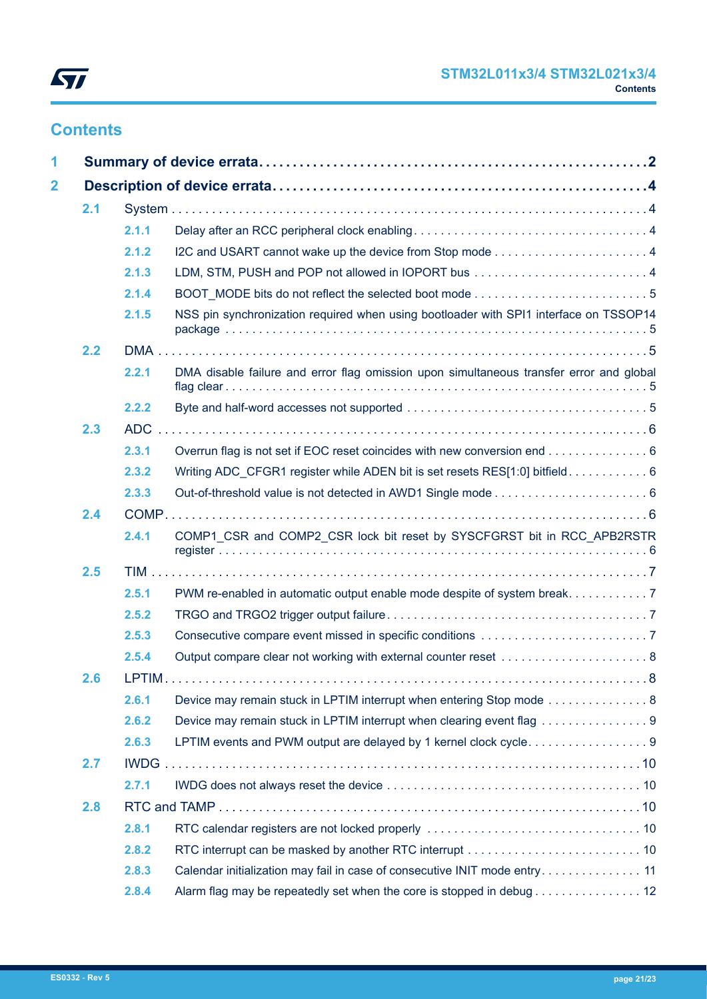

# **Contents**

| 2.1 |       |                                                                                         |  |
|-----|-------|-----------------------------------------------------------------------------------------|--|
|     | 2.1.1 |                                                                                         |  |
|     | 2.1.2 |                                                                                         |  |
|     | 2.1.3 |                                                                                         |  |
|     | 2.1.4 |                                                                                         |  |
|     | 2.1.5 | NSS pin synchronization required when using bootloader with SPI1 interface on TSSOP14   |  |
| 2.2 |       |                                                                                         |  |
|     | 2.2.1 | DMA disable failure and error flag omission upon simultaneous transfer error and global |  |
|     | 2.2.2 |                                                                                         |  |
| 2.3 |       |                                                                                         |  |
|     | 2.3.1 | Overrun flag is not set if EOC reset coincides with new conversion end 6                |  |
|     | 2.3.2 | Writing ADC_CFGR1 register while ADEN bit is set resets RES[1:0] bitfield 6             |  |
|     | 2.3.3 |                                                                                         |  |
| 2.4 |       |                                                                                         |  |
|     | 2.4.1 | COMP1 CSR and COMP2 CSR lock bit reset by SYSCFGRST bit in RCC APB2RSTR                 |  |
| 2.5 |       |                                                                                         |  |
|     | 2.5.1 | PWM re-enabled in automatic output enable mode despite of system break. 7               |  |
|     | 2.5.2 |                                                                                         |  |
|     | 2.5.3 |                                                                                         |  |
|     | 2.5.4 |                                                                                         |  |
| 2.6 |       |                                                                                         |  |
|     | 2.6.1 | Device may remain stuck in LPTIM interrupt when entering Stop mode  8                   |  |
|     | 2.6.2 | Device may remain stuck in LPTIM interrupt when clearing event flag 9                   |  |
|     | 2.6.3 |                                                                                         |  |
| 2.7 |       |                                                                                         |  |
|     | 2.7.1 |                                                                                         |  |
| 2.8 |       |                                                                                         |  |
|     | 2.8.1 |                                                                                         |  |
|     | 2.8.2 |                                                                                         |  |
|     | 2.8.3 | Calendar initialization may fail in case of consecutive INIT mode entry 11              |  |
|     | 2.8.4 | Alarm flag may be repeatedly set when the core is stopped in debug 12                   |  |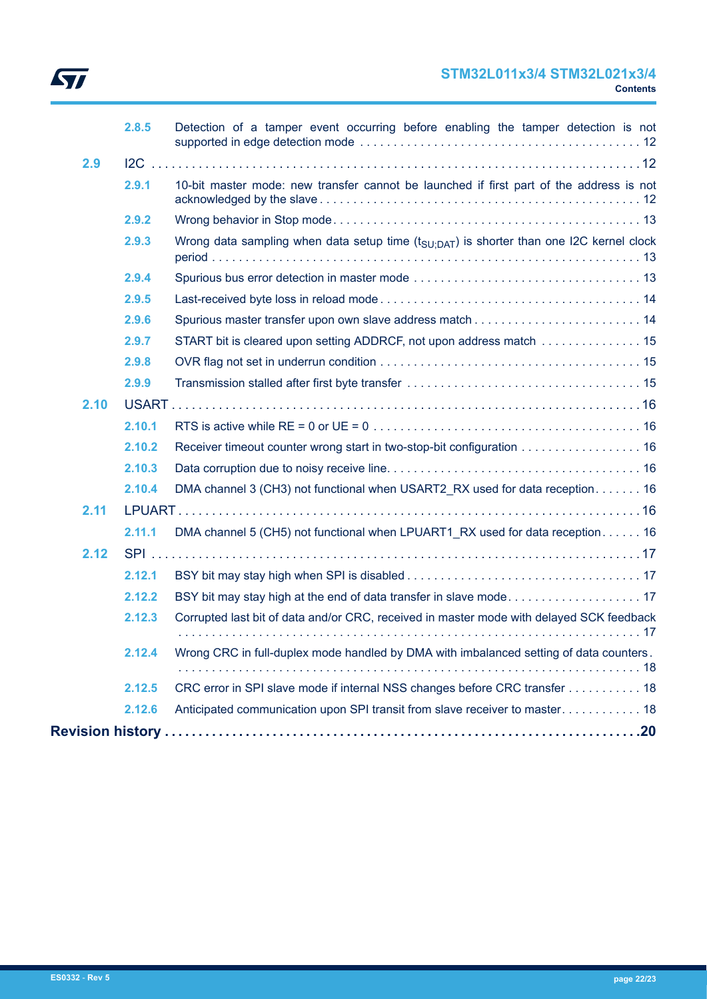

## **STM32L011x3/4 STM32L021x3/4 Contents**

|      | 2.8.5  | Detection of a tamper event occurring before enabling the tamper detection is not                   |
|------|--------|-----------------------------------------------------------------------------------------------------|
| 2.9  |        |                                                                                                     |
|      | 2.9.1  | 10-bit master mode: new transfer cannot be launched if first part of the address is not             |
|      | 2.9.2  |                                                                                                     |
|      | 2.9.3  | Wrong data sampling when data setup time $(t_{\text{SU:DAT}})$ is shorter than one I2C kernel clock |
|      | 2.9.4  |                                                                                                     |
|      | 2.9.5  |                                                                                                     |
|      | 2.9.6  |                                                                                                     |
|      | 2.9.7  | START bit is cleared upon setting ADDRCF, not upon address match  15                                |
|      | 2.9.8  |                                                                                                     |
|      | 2.9.9  |                                                                                                     |
| 2.10 |        |                                                                                                     |
|      | 2.10.1 |                                                                                                     |
|      | 2.10.2 | Receiver timeout counter wrong start in two-stop-bit configuration 16                               |
|      | 2.10.3 |                                                                                                     |
|      | 2.10.4 | DMA channel 3 (CH3) not functional when USART2 RX used for data reception 16                        |
| 2.11 |        |                                                                                                     |
|      | 2.11.1 | DMA channel 5 (CH5) not functional when LPUART1 RX used for data reception 16                       |
| 2.12 |        |                                                                                                     |
|      | 2.12.1 |                                                                                                     |
|      | 2.12.2 |                                                                                                     |
|      | 2.12.3 | Corrupted last bit of data and/or CRC, received in master mode with delayed SCK feedback            |
|      |        |                                                                                                     |
|      | 2.12.4 | Wrong CRC in full-duplex mode handled by DMA with imbalanced setting of data counters.              |
|      | 2.12.5 | CRC error in SPI slave mode if internal NSS changes before CRC transfer 18                          |
|      | 2.12.6 | Anticipated communication upon SPI transit from slave receiver to master 18                         |
|      |        |                                                                                                     |